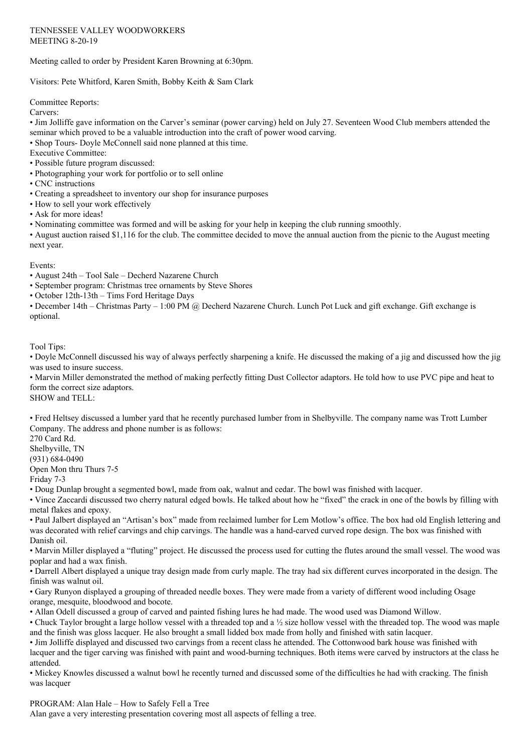Meeting called to order by President Karen Browning at 6:30pm.

Visitors: Pete Whitford, Karen Smith, Bobby Keith & Sam Clark

Committee Reports:

Carvers:

• Jim Jolliffe gave information on the Carver's seminar (power carving) held on July 27. Seventeen Wood Club members attended the seminar which proved to be a valuable introduction into the craft of power wood carving.

• Shop Tours- Doyle McConnell said none planned at this time.

- Executive Committee:
- Possible future program discussed:
- Photographing your work for portfolio or to sell online
- CNC instructions
- Creating a spreadsheet to inventory our shop for insurance purposes
- How to sell your work effectively
- Ask for more ideas!
- Nominating committee was formed and will be asking for your help in keeping the club running smoothly.

• August auction raised \$1,116 for the club. The committee decided to move the annual auction from the picnic to the August meeting next year.

Events:

- August 24th Tool Sale Decherd Nazarene Church
- September program: Christmas tree ornaments by Steve Shores
- October 12th-13th Tims Ford Heritage Days

• December 14th – Christmas Party – 1:00 PM @ Decherd Nazarene Church. Lunch Pot Luck and gift exchange. Gift exchange is optional.

Tool Tips:

• Doyle McConnell discussed his way of always perfectly sharpening a knife. He discussed the making of a jig and discussed how the jig was used to insure success.

• Marvin Miller demonstrated the method of making perfectly fitting Dust Collector adaptors. He told how to use PVC pipe and heat to form the correct size adaptors.

SHOW and TELL:

• Fred Heltsey discussed a lumber yard that he recently purchased lumber from in Shelbyville. The company name was Trott Lumber Company. The address and phone number is as follows:

270 Card Rd. Shelbyville, TN (931) 684-0490 Open Mon thru Thurs 7-5

Friday 7-3

• Doug Dunlap brought a segmented bowl, made from oak, walnut and cedar. The bowl was finished with lacquer.

• Vince Zaccardi discussed two cherry natural edged bowls. He talked about how he "fixed" the crack in one of the bowls by filling with metal flakes and epoxy.

• Paul Jalbert displayed an "Artisan's box" made from reclaimed lumber for Lem Motlow's office. The box had old English lettering and was decorated with relief carvings and chip carvings. The handle was a hand-carved curved rope design. The box was finished with Danish oil.

• Marvin Miller displayed a "fluting" project. He discussed the process used for cutting the flutes around the small vessel. The wood was poplar and had a wax finish.

• Darrell Albert displayed a unique tray design made from curly maple. The tray had six different curves incorporated in the design. The finish was walnut oil.

• Gary Runyon displayed a grouping of threaded needle boxes. They were made from a variety of different wood including Osage orange, mesquite, bloodwood and bocote.

• Allan Odell discussed a group of carved and painted fishing lures he had made. The wood used was Diamond Willow.

• Chuck Taylor brought a large hollow vessel with a threaded top and a ½ size hollow vessel with the threaded top. The wood was maple and the finish was gloss lacquer. He also brought a small lidded box made from holly and finished with satin lacquer.

• Jim Jolliffe displayed and discussed two carvings from a recent class he attended. The Cottonwood bark house was finished with lacquer and the tiger carving was finished with paint and wood-burning techniques. Both items were carved by instructors at the class he attended.

• Mickey Knowles discussed a walnut bowl he recently turned and discussed some of the difficulties he had with cracking. The finish was lacquer

PROGRAM: Alan Hale – How to Safely Fell a Tree Alan gave a very interesting presentation covering most all aspects of felling a tree.